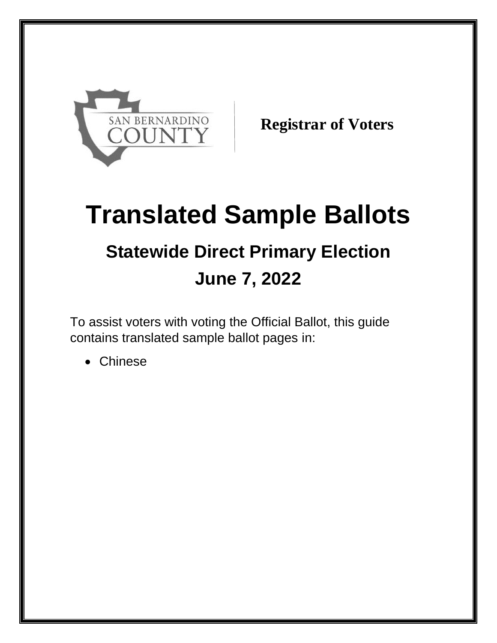

**Registrar of Voters**

## **Translated Sample Ballots Statewide Direct Primary Election June 7, 2022**

To assist voters with voting the Official Ballot, this guide contains translated sample ballot pages in:

Chinese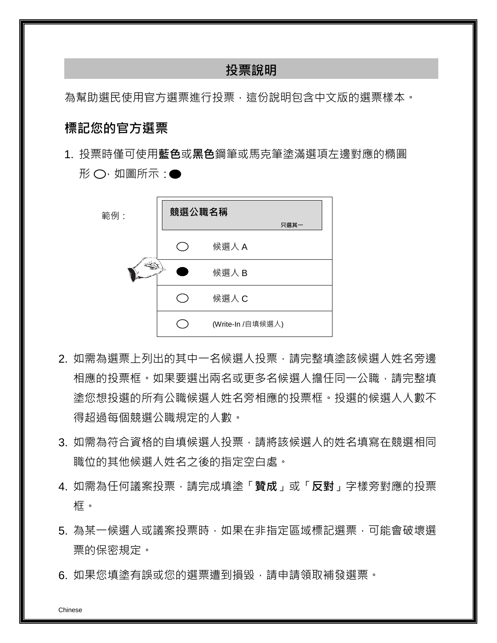## **投票說明**

為幫助選民使用官方選票進行投票,這份說明包含中文版的選票樣本。

## **標記您的官方選票**

1. 投票時僅可使用**藍色**或**黑色**鋼筆或馬克筆塗滿選項左邊對應的橢圓  $E$  ,  $O \cdot \mu$ 圖所示:



- 2. 如需為選票上列出的其中一名候選人投票,請完整填塗該候選人姓名旁邊 相應的投票框。如果要選出兩名或更多名候選人擔任同一公職,請完整填 塗您想投選的所有公職候選人姓名旁相應的投票框。投選的候選人人數不 得超過每個競選公職規定的人數。
- 3. 如需為符合資格的自填候選人投票,請將該候選人的姓名填寫在競選相同 職位的其他候選人姓名之後的指定空白處。
- 4. 如需為任何議案投票,請完成填塗「**贊成**」或「**反對**」字樣旁對應的投票 框。
- 5. 為某一候選人或議案投票時,如果在非指定區域標記選票,可能會破壞選 票的保密規定。
- 6. 如果您填塗有誤或您的選票遭到損毀,請申請領取補發選票。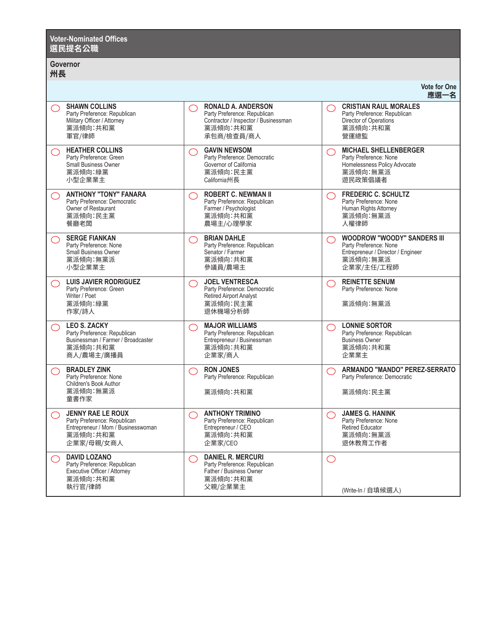| <b>Voter-Nominated Offices</b><br>選民提名公職                                                                                          |                                                                                                                             |                                                                                                                                   |  |  |
|-----------------------------------------------------------------------------------------------------------------------------------|-----------------------------------------------------------------------------------------------------------------------------|-----------------------------------------------------------------------------------------------------------------------------------|--|--|
| <b>Governor</b><br>州長                                                                                                             |                                                                                                                             |                                                                                                                                   |  |  |
|                                                                                                                                   |                                                                                                                             | <b>Vote for One</b><br>應選一名                                                                                                       |  |  |
| <b>SHAWN COLLINS</b><br>$\bigcirc$<br>Party Preference: Republican<br>Military Officer / Attorney<br>黨派傾向:共和黨<br>軍官/律師            | <b>RONALD A. ANDERSON</b><br>Party Preference: Republican<br>Contractor / Inspector / Businessman<br>黨派傾向:共和黨<br>承包商/檢查員/商人 | <b>CRISTIAN RAUL MORALES</b><br>◯<br>Party Preference: Republican<br>Director of Operations<br>黨派傾向:共和黨<br>營運總監                   |  |  |
| <b>HEATHER COLLINS</b><br>$\bigcirc$<br>Party Preference: Green<br>Small Business Owner<br>黨派傾向:綠黨<br>小型企業業主                      | <b>GAVIN NEWSOM</b><br>◯<br>Party Preference: Democratic<br>Governor of California<br>黨派傾向:民主黨<br>California州長              | <b>MICHAEL SHELLENBERGER</b><br>$\bigcirc$<br>Party Preference: None<br>Homelessness Policy Advocate<br>黨派傾向:無黨派<br>遊民政策倡議者       |  |  |
| <b>ANTHONY "TONY" FANARA</b><br>◯<br>Party Preference: Democratic<br>Owner of Restaurant<br>黨派傾向:民主黨<br>餐廳老闆                      | <b>ROBERT C. NEWMAN II</b><br>◯<br>Party Preference: Republican<br>Farmer / Psychologist<br>黨派傾向:共和黨<br>農場主/心理學家            | <b>FREDERIC C. SCHULTZ</b><br>$\bigcirc$<br>Party Preference: None<br>Human Rights Attorney<br>黨派傾向:無黨派<br>人權律師                   |  |  |
| <b>SERGE FIANKAN</b><br>$\bigcirc$<br>Party Preference: None<br>Small Business Owner<br>黨派傾向:無黨派<br>小型企業業主                        | <b>BRIAN DAHLE</b><br>◯<br>Party Preference: Republican<br>Senator / Farmer<br>黨派傾向:共和黨<br>參議員/農場主                          | <b>WOODROW "WOODY" SANDERS III</b><br>◯<br>Party Preference: None<br>Entrepreneur / Director / Engineer<br>黨派傾向:無黨派<br>企業家/主任/工程師 |  |  |
| <b>LUIS JAVIER RODRIGUEZ</b><br>◯<br>Party Preference: Green<br>Writer / Poet<br>黨派傾向:綠黨<br>作家/詩人                                 | <b>JOEL VENTRESCA</b><br>◯<br>Party Preference: Democratic<br><b>Retired Airport Analyst</b><br>黨派傾向:民主黨<br>退休機場分析師         | <b>REINETTE SENUM</b><br>◯<br>Party Preference: None<br>黨派傾向:無黨派                                                                  |  |  |
| <b>LEO S. ZACKY</b><br>$\bigcirc$<br>Party Preference: Republican<br>Businessman / Farmer / Broadcaster<br>黨派傾向:共和黨<br>商人/農場主/廣播員 | <b>MAJOR WILLIAMS</b><br>◯<br>Party Preference: Republican<br>Entrepreneur / Businessman<br>黨派傾向:共和黨<br>企業家/商人              | <b>LONNIE SORTOR</b><br>$\bigcirc$<br>Party Preference: Republican<br><b>Business Owner</b><br>黨派傾向:共和黨<br>企業業主                   |  |  |
| <b>BRADLEY ZINK</b><br>⌒<br>Party Preference: None<br>Children's Book Author<br>黨派傾向:無黨派<br>童書作家                                  | <b>RON JONES</b><br>◯<br>Party Preference: Republican<br>黨派傾向:共和黨                                                           | ARMANDO "MANDO" PEREZ-SERRATO<br>Party Preference: Democratic<br>黨派傾向:民主黨                                                         |  |  |
| <b>JENNY RAE LE ROUX</b><br>◯<br>Party Preference: Republican<br>Entrepreneur / Mom / Businesswoman<br>黨派傾向:共和黨<br>企業家/母親/女商人     | <b>ANTHONY TRIMINO</b><br>◯<br>Party Preference: Republican<br>Entrepreneur / CEO<br>黨派傾向:共和黨<br>企業家/CEO                    | <b>JAMES G. HANINK</b><br>$\bigcirc$<br>Party Preference: None<br><b>Retired Educator</b><br>黨派傾向:無黨派<br>退休教育工作者                  |  |  |
| <b>DAVID LOZANO</b><br>◯<br>Party Preference: Republican<br>Executive Officer / Attorney<br>黨派傾向:共和黨<br>執行官/律師                    | <b>DANIEL R. MERCURI</b><br>◯<br>Party Preference: Republican<br>Father / Business Owner<br>黨派傾向:共和黨<br>父親/企業業主             | ◯<br>(Write-In / 自填候選人)                                                                                                           |  |  |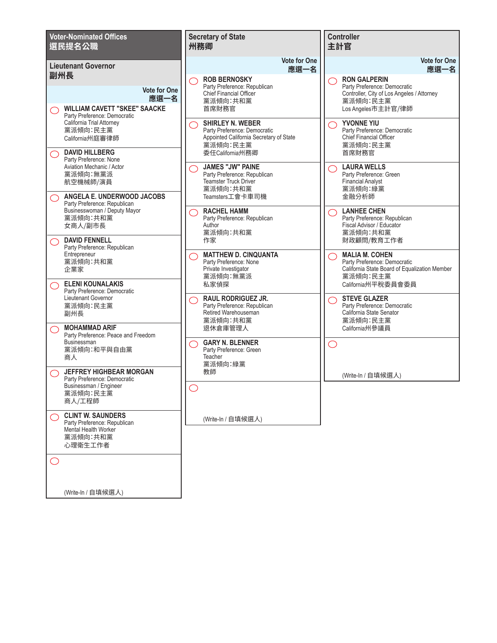| <b>Voter-Nominated Offices</b><br>選民提名公職                                                                               | <b>Secretary of State</b><br>州務卿                                                                                                        | <b>Controller</b><br>自信主                                                                                                                                                |
|------------------------------------------------------------------------------------------------------------------------|-----------------------------------------------------------------------------------------------------------------------------------------|-------------------------------------------------------------------------------------------------------------------------------------------------------------------------|
| <b>Lieutenant Governor</b><br>副州長<br><b>Vote for One</b><br>應選一名<br><b>WILLIAM CAVETT "SKEE" SAACKE</b>                | <b>Vote for One</b><br>應選一名<br><b>ROB BERNOSKY</b><br>◯<br>Party Preference: Republican<br>Chief Financial Officer<br>黨派傾向:共和黨<br>首席財務官 | <b>Vote for One</b><br>應選一名<br><b>RON GALPERIN</b><br>○<br>Party Preference: Democratic<br>Controller, City of Los Angeles / Attorney<br>黨派傾向:民主黨<br>Los Angeles市主計官/律師 |
| Party Preference: Democratic<br>California Trial Attorney<br>黨派傾向:民主黨<br>California州庭審律師<br><b>DAVID HILLBERG</b><br>◯ | <b>SHIRLEY N. WEBER</b><br>⌒<br>Party Preference: Democratic<br>Appointed California Secretary of State<br>黨派傾向:民主黨<br>委任California州務卿  | <b>YVONNE YIU</b><br>◯<br>Party Preference: Democratic<br>Chief Financial Officer<br>黨派傾向:民主黨<br>首席財務官                                                                  |
| Party Preference: None<br>Aviation Mechanic / Actor<br>黨派傾向:無黨派<br>航空機械師/演員<br>ANGELA E. UNDERWOOD JACOBS              | <b>JAMES "JW" PAINE</b><br>Party Preference: Republican<br>Teamster Truck Driver<br>黨派傾向:共和黨<br>Teamsters工會卡車司機                         | <b>LAURA WELLS</b><br>◯<br>Party Preference: Green<br><b>Financial Analyst</b><br>黨派傾向:綠黨<br>金融分析師                                                                      |
| Party Preference: Republican<br>Businesswoman / Deputy Mayor<br>黨派傾向:共和黨<br>女商人/副市長<br><b>DAVID FENNELL</b>            | <b>RACHEL HAMM</b><br>Party Preference: Republican<br>Author<br>黨派傾向:共和黨<br>作家                                                          | <b>LANHEE CHEN</b><br>⌒<br>Party Preference: Republican<br>Fiscal Advisor / Educator<br>黨派傾向:共和黨<br>財政顧問/教育工作者                                                          |
| Party Preference: Republican<br>Entrepreneur<br>黨派傾向:共和黨<br>企業家<br><b>ELENI KOUNALAKIS</b>                             | <b>MATTHEW D. CINQUANTA</b><br>Party Preference: None<br>Private Investigator<br>黨派傾向:無黨派<br>私家偵探                                       | <b>MALIA M. COHEN</b><br>◯<br>Party Preference: Democratic<br>California State Board of Equalization Member<br>黨派傾向:民主黨<br>California州平稅委員會委員                           |
| Party Preference: Democratic<br>Lieutenant Governor<br>黨派傾向:民主黨<br>副州長<br><b>MOHAMMAD ARIF</b>                         | <b>RAUL RODRIGUEZ JR.</b><br>Party Preference: Republican<br>Retired Warehouseman<br>黨派傾向:共和黨<br>退休倉庫管理人                                | <b>STEVE GLAZER</b><br>◯<br>Party Preference: Democratic<br>California State Senator<br>黨派傾向:民主黨<br>California州參議員                                                      |
| Party Preference: Peace and Freedom<br>Businessman<br>黨派傾向:和平與自由黨<br>商人                                                | <b>GARY N. BLENNER</b><br>Party Preference: Green<br>Teacher<br>黨派傾向:綠黨                                                                 | ◯                                                                                                                                                                       |
| <b>JEFFREY HIGHBEAR MORGAN</b><br>Party Preference: Democratic<br>Businessman / Engineer<br>黨派傾向:民主黨<br>商人/工程師         | 教師                                                                                                                                      | (Write-In / 自填候選人)                                                                                                                                                      |
| <b>CLINT W. SAUNDERS</b><br>Party Preference: Republican<br>Mental Health Worker<br>黨派傾向:共和黨<br>心理衛生工作者                | (Write-In / 自填候選人)                                                                                                                      |                                                                                                                                                                         |
| ( )                                                                                                                    |                                                                                                                                         |                                                                                                                                                                         |
| (Write-In / 自填候選人)                                                                                                     |                                                                                                                                         |                                                                                                                                                                         |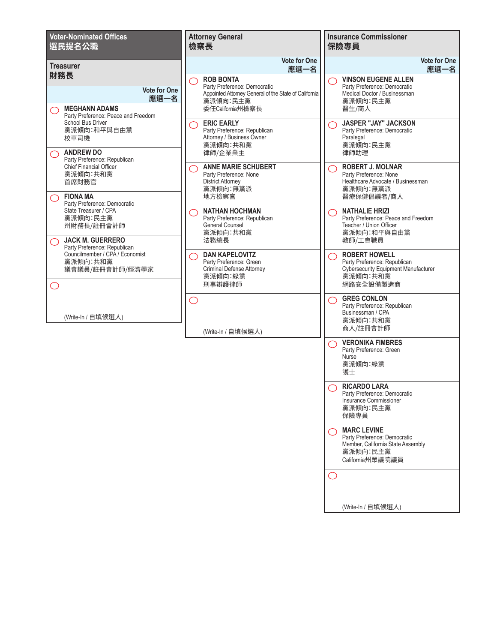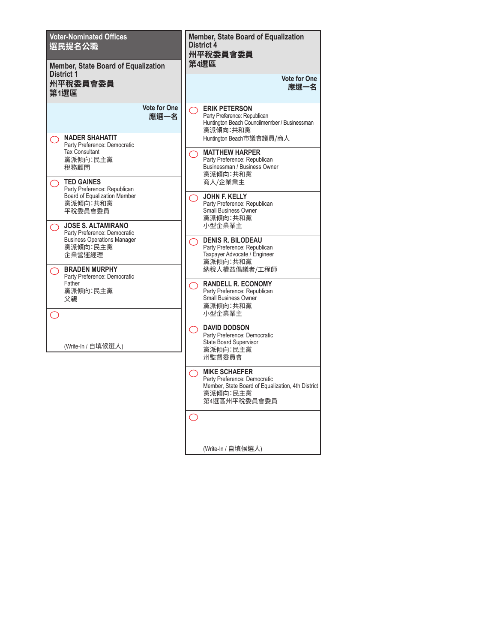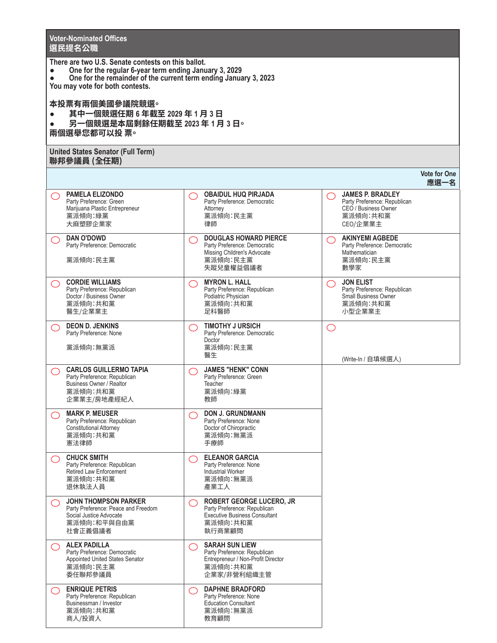**Contract Contract** 

|                                                                                                                                                                                                                                  | <b>Voter-Nominated Offices</b><br>選民提名公職                                                                                    |                                                                                                                                   |                                                                                                              |  |  |  |
|----------------------------------------------------------------------------------------------------------------------------------------------------------------------------------------------------------------------------------|-----------------------------------------------------------------------------------------------------------------------------|-----------------------------------------------------------------------------------------------------------------------------------|--------------------------------------------------------------------------------------------------------------|--|--|--|
| There are two U.S. Senate contests on this ballot.<br>One for the regular 6-year term ending January 3, 2029<br>One for the remainder of the current term ending January 3, 2023<br>$\bullet$<br>You may vote for both contests. |                                                                                                                             |                                                                                                                                   |                                                                                                              |  |  |  |
|                                                                                                                                                                                                                                  | 本投票有兩個美國參議院競選。<br>其中一個競選任期 6 年截至 2029 年 1 月 3 日<br>另一個競選是本屆剩餘任期截至 2023 年 1 月 3 日。<br>兩個選舉您都可以投 票。                           |                                                                                                                                   |                                                                                                              |  |  |  |
|                                                                                                                                                                                                                                  | <b>United States Senator (Full Term)</b><br>聯邦參議員 (全任期)                                                                     |                                                                                                                                   |                                                                                                              |  |  |  |
|                                                                                                                                                                                                                                  |                                                                                                                             |                                                                                                                                   | <b>Vote for One</b><br>應選一名                                                                                  |  |  |  |
| ⌒                                                                                                                                                                                                                                | <b>PAMELA ELIZONDO</b><br>Party Preference: Green<br>Marijuana Plastic Entrepreneur<br>黨派傾向:綠黨<br>大麻塑膠企業家                   | <b>OBAIDUL HUQ PIRJADA</b><br>Party Preference: Democratic<br>Attorney<br>黨派傾向:民主黨<br>律師                                          | <b>JAMES P. BRADLEY</b><br>◯<br>Party Preference: Republican<br>CEO / Business Owner<br>黨派傾向:共和黨<br>CEO/企業業主 |  |  |  |
|                                                                                                                                                                                                                                  | <b>DAN O'DOWD</b><br>Party Preference: Democratic<br>黨派傾向:民主黨                                                               | <b>DOUGLAS HOWARD PIERCE</b><br>$\bigcap$<br>Party Preference: Democratic<br>Missing Children's Advocate<br>黨派傾向:民主黨<br>失蹤兒童權益倡議者 | <b>AKINYEMI AGBEDE</b><br>$\bigcirc$<br>Party Preference: Democratic<br>Mathematician<br>黨派傾向:民主黨<br>數學家     |  |  |  |
|                                                                                                                                                                                                                                  | <b>CORDIE WILLIAMS</b><br>Party Preference: Republican<br>Doctor / Business Owner<br>黨派傾向:共和黨<br>醫生/企業業主                    | <b>MYRON L. HALL</b><br>$\bigcirc$<br>Party Preference: Republican<br>Podiatric Physician<br>黨派傾向:共和黨<br>足科醫師                     | <b>JON ELIST</b><br>◯<br>Party Preference: Republican<br><b>Small Business Owner</b><br>黨派傾向:共和黨<br>小型企業業主   |  |  |  |
|                                                                                                                                                                                                                                  | <b>DEON D. JENKINS</b><br>Party Preference: None<br>黨派傾向:無黨派                                                                | <b>TIMOTHY J URSICH</b><br>$\bigcap$<br>Party Preference: Democratic<br>Doctor<br>黨派傾向:民主黨<br>醫生                                  | $\bigcirc$<br>(Write-In / 自填候選人)                                                                             |  |  |  |
|                                                                                                                                                                                                                                  | <b>CARLOS GUILLERMO TAPIA</b><br>Party Preference: Republican<br><b>Business Owner / Realtor</b><br>黨派傾向:共和黨<br>企業業主/房地產經紀人 | <b>JAMES "HENK" CONN</b><br>$\bigcirc$<br>Party Preference: Green<br>Teacher<br>黨派傾向:綠黨<br>教師                                     |                                                                                                              |  |  |  |
|                                                                                                                                                                                                                                  | <b>MARK P. MEUSER</b><br>Party Preference: Republican<br><b>Constitutional Attorney</b><br>黨派傾向:共和黨<br>憲法律師                 | <b>DON J. GRUNDMANN</b><br>Party Preference: None<br>Doctor of Chiropractic<br>黨派傾向:無黨派<br>手療師                                    |                                                                                                              |  |  |  |
|                                                                                                                                                                                                                                  | <b>CHUCK SMITH</b><br>Party Preference: Republican<br>Retired Law Enforcement<br>黨派傾向:共和黨<br>退休執法人員                         | <b>ELEANOR GARCIA</b><br>Party Preference: None<br>Industrial Worker<br>黨派傾向:無黨派<br>產業工人                                          |                                                                                                              |  |  |  |
|                                                                                                                                                                                                                                  | <b>JOHN THOMPSON PARKER</b><br>Party Preference: Peace and Freedom<br>Social Justice Advocate<br>黨派傾向:和平與自由黨<br>社會正義倡議者     | <b>ROBERT GEORGE LUCERO, JR</b><br>Party Preference: Republican<br><b>Executive Business Consultant</b><br>黨派傾向:共和黨<br>執行商業顧問     |                                                                                                              |  |  |  |
|                                                                                                                                                                                                                                  | <b>ALEX PADILLA</b><br>Party Preference: Democratic<br>Appointed United States Senator<br>黨派傾向:民主黨<br>委任聯邦參議員               | <b>SARAH SUN LIEW</b><br>Party Preference: Republican<br>Entrepreneur / Non-Profit Director<br>黨派傾向:共和黨<br>企業家/非營利組織主管            |                                                                                                              |  |  |  |
|                                                                                                                                                                                                                                  | <b>ENRIQUE PETRIS</b><br>Party Preference: Republican<br>Businessman / Investor<br>黨派傾向:共和黨<br>商人/投資人                       | <b>DAPHNE BRADFORD</b><br>Party Preference: None<br><b>Education Consultant</b><br>黨派傾向:無黨派<br>教育顧問                               |                                                                                                              |  |  |  |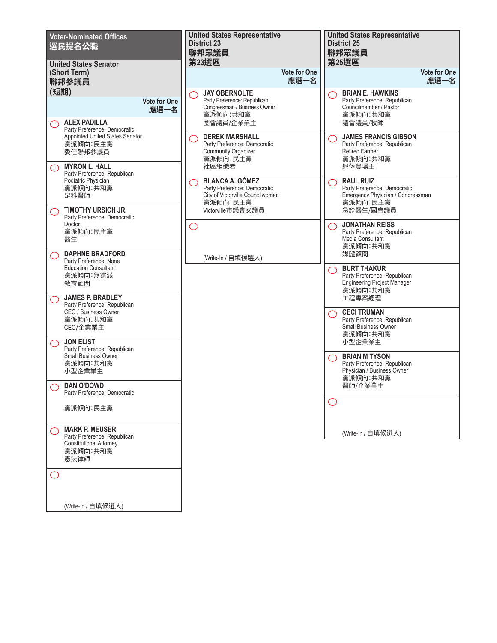

(Write-In / 自填候選人)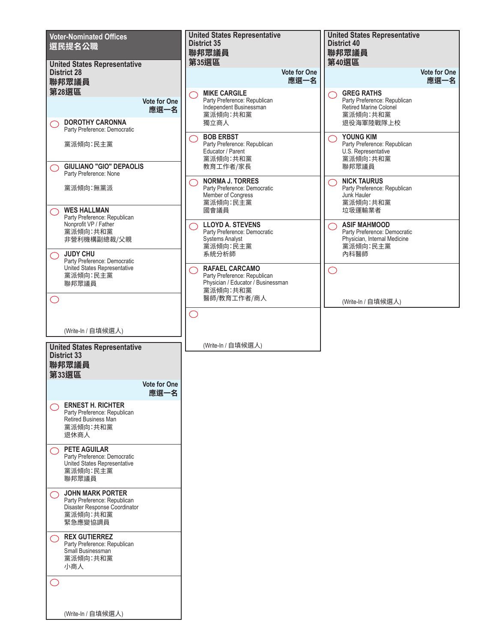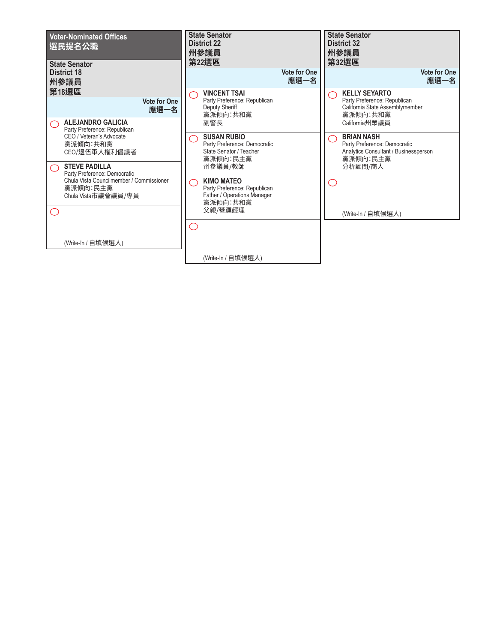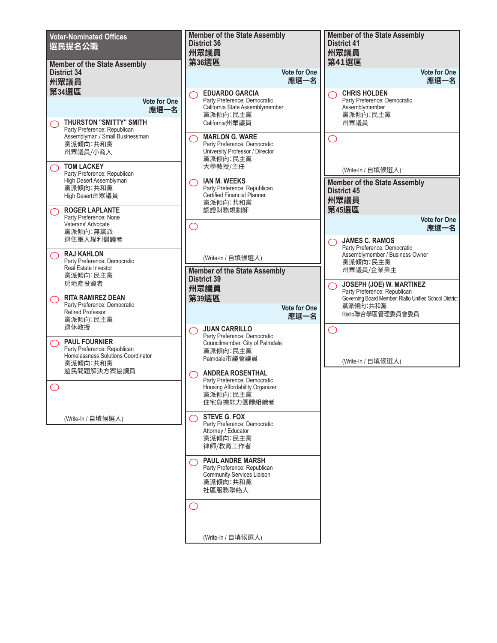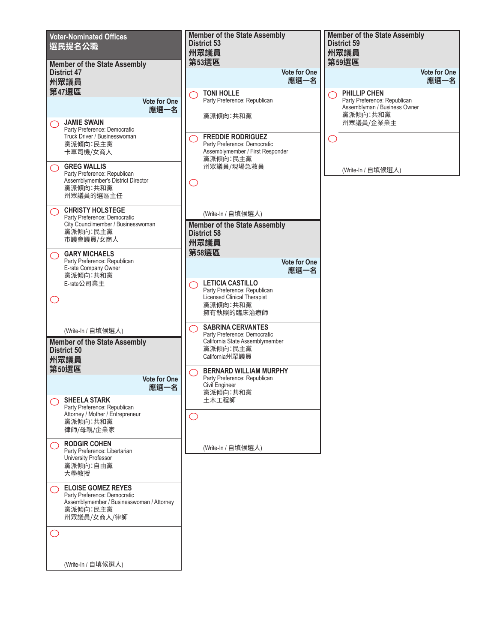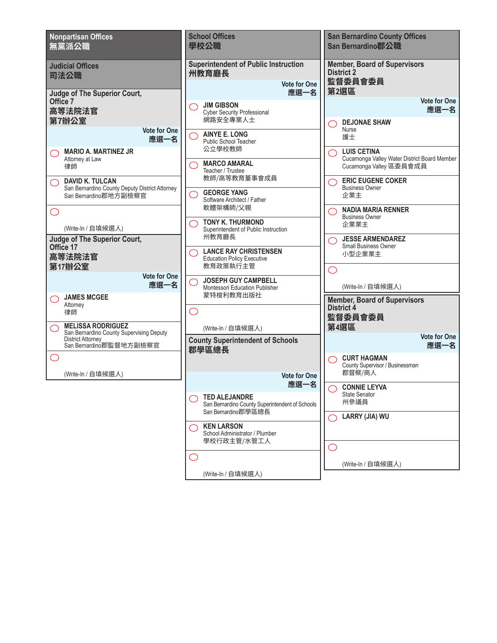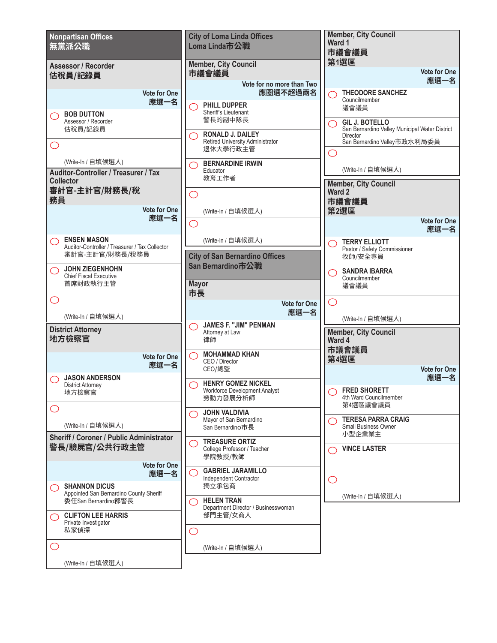